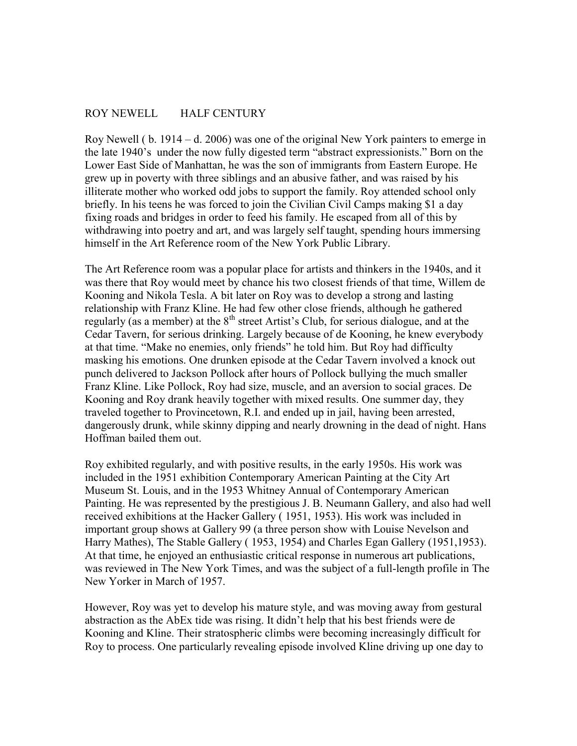## ROY NEWELL HALF CENTURY

Roy Newell ( b. 1914 – d. 2006) was one of the original New York painters to emerge in the late 1940's under the now fully digested term "abstract expressionists." Born on the Lower East Side of Manhattan, he was the son of immigrants from Eastern Europe. He grew up in poverty with three siblings and an abusive father, and was raised by his illiterate mother who worked odd jobs to support the family. Roy attended school only briefly. In his teens he was forced to join the Civilian Civil Camps making \$1 a day fixing roads and bridges in order to feed his family. He escaped from all of this by withdrawing into poetry and art, and was largely self taught, spending hours immersing himself in the Art Reference room of the New York Public Library.

The Art Reference room was a popular place for artists and thinkers in the 1940s, and it was there that Roy would meet by chance his two closest friends of that time, Willem de Kooning and Nikola Tesla. A bit later on Roy was to develop a strong and lasting relationship with Franz Kline. He had few other close friends, although he gathered regularly (as a member) at the  $8<sup>th</sup>$  street Artist's Club, for serious dialogue, and at the Cedar Tavern, for serious drinking. Largely because of de Kooning, he knew everybody at that time. "Make no enemies, only friends" he told him. But Roy had difficulty masking his emotions. One drunken episode at the Cedar Tavern involved a knock out punch delivered to Jackson Pollock after hours of Pollock bullying the much smaller Franz Kline. Like Pollock, Roy had size, muscle, and an aversion to social graces. De Kooning and Roy drank heavily together with mixed results. One summer day, they traveled together to Provincetown, R.I. and ended up in jail, having been arrested, dangerously drunk, while skinny dipping and nearly drowning in the dead of night. Hans Hoffman bailed them out.

Roy exhibited regularly, and with positive results, in the early 1950s. His work was included in the 1951 exhibition Contemporary American Painting at the City Art Museum St. Louis, and in the 1953 Whitney Annual of Contemporary American Painting. He was represented by the prestigious J. B. Neumann Gallery, and also had well received exhibitions at the Hacker Gallery ( 1951, 1953). His work was included in important group shows at Gallery 99 (a three person show with Louise Nevelson and Harry Mathes), The Stable Gallery ( 1953, 1954) and Charles Egan Gallery (1951,1953). At that time, he enjoyed an enthusiastic critical response in numerous art publications, was reviewed in The New York Times, and was the subject of a full-length profile in The New Yorker in March of 1957.

However, Roy was yet to develop his mature style, and was moving away from gestural abstraction as the AbEx tide was rising. It didn't help that his best friends were de Kooning and Kline. Their stratospheric climbs were becoming increasingly difficult for Roy to process. One particularly revealing episode involved Kline driving up one day to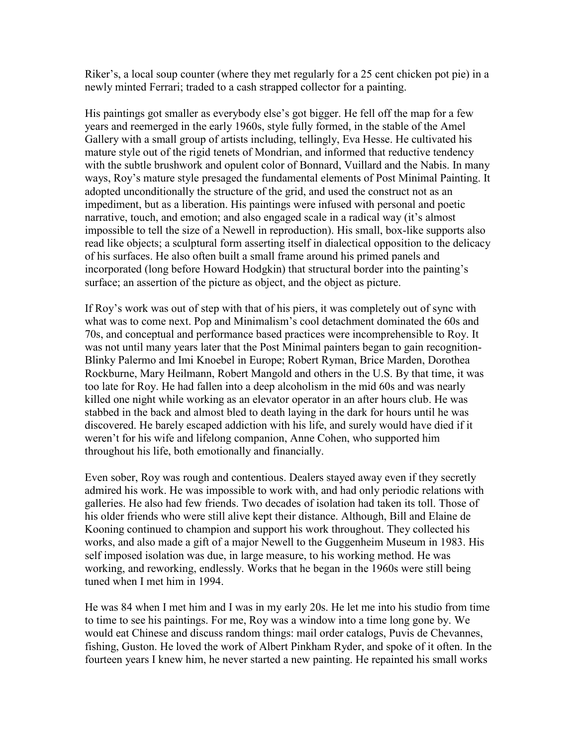Riker's, a local soup counter (where they met regularly for a 25 cent chicken pot pie) in a newly minted Ferrari; traded to a cash strapped collector for a painting.

His paintings got smaller as everybody else's got bigger. He fell off the map for a few years and reemerged in the early 1960s, style fully formed, in the stable of the Amel Gallery with a small group of artists including, tellingly, Eva Hesse. He cultivated his mature style out of the rigid tenets of Mondrian, and informed that reductive tendency with the subtle brushwork and opulent color of Bonnard, Vuillard and the Nabis. In many ways, Roy's mature style presaged the fundamental elements of Post Minimal Painting. It adopted unconditionally the structure of the grid, and used the construct not as an impediment, but as a liberation. His paintings were infused with personal and poetic narrative, touch, and emotion; and also engaged scale in a radical way (it's almost impossible to tell the size of a Newell in reproduction). His small, box-like supports also read like objects; a sculptural form asserting itself in dialectical opposition to the delicacy of his surfaces. He also often built a small frame around his primed panels and incorporated (long before Howard Hodgkin) that structural border into the painting's surface; an assertion of the picture as object, and the object as picture.

If Roy's work was out of step with that of his piers, it was completely out of sync with what was to come next. Pop and Minimalism's cool detachment dominated the 60s and 70s, and conceptual and performance based practices were incomprehensible to Roy. It was not until many years later that the Post Minimal painters began to gain recognition-Blinky Palermo and Imi Knoebel in Europe; Robert Ryman, Brice Marden, Dorothea Rockburne, Mary Heilmann, Robert Mangold and others in the U.S. By that time, it was too late for Roy. He had fallen into a deep alcoholism in the mid 60s and was nearly killed one night while working as an elevator operator in an after hours club. He was stabbed in the back and almost bled to death laying in the dark for hours until he was discovered. He barely escaped addiction with his life, and surely would have died if it weren't for his wife and lifelong companion, Anne Cohen, who supported him throughout his life, both emotionally and financially.

Even sober, Roy was rough and contentious. Dealers stayed away even if they secretly admired his work. He was impossible to work with, and had only periodic relations with galleries. He also had few friends. Two decades of isolation had taken its toll. Those of his older friends who were still alive kept their distance. Although, Bill and Elaine de Kooning continued to champion and support his work throughout. They collected his works, and also made a gift of a major Newell to the Guggenheim Museum in 1983. His self imposed isolation was due, in large measure, to his working method. He was working, and reworking, endlessly. Works that he began in the 1960s were still being tuned when I met him in 1994.

He was 84 when I met him and I was in my early 20s. He let me into his studio from time to time to see his paintings. For me, Roy was a window into a time long gone by. We would eat Chinese and discuss random things: mail order catalogs, Puvis de Chevannes, fishing, Guston. He loved the work of Albert Pinkham Ryder, and spoke of it often. In the fourteen years I knew him, he never started a new painting. He repainted his small works